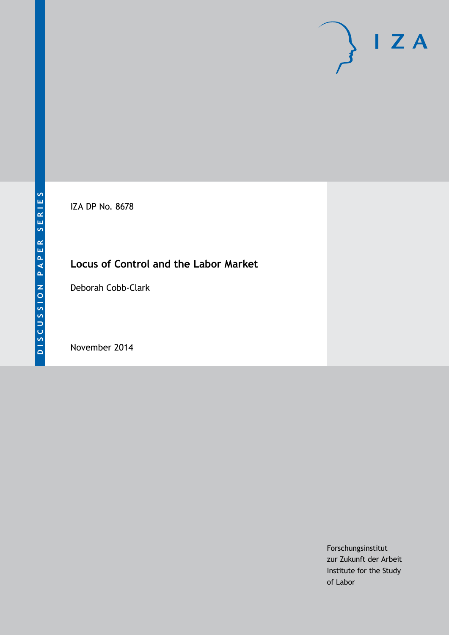IZA DP No. 8678

# **Locus of Control and the Labor Market**

Deborah Cobb-Clark

November 2014

Forschungsinstitut zur Zukunft der Arbeit Institute for the Study of Labor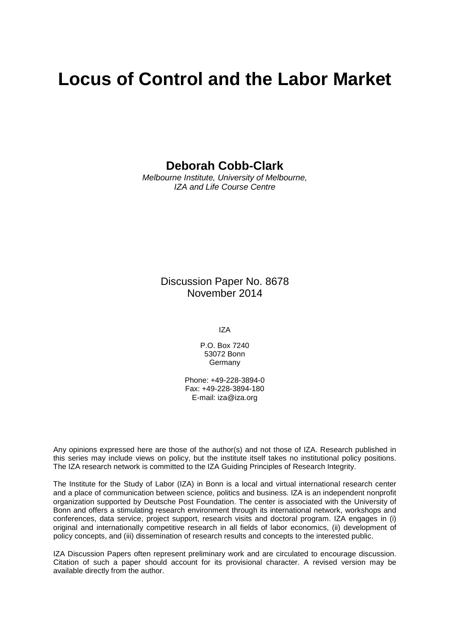# **Locus of Control and the Labor Market**

### **Deborah Cobb-Clark**

*Melbourne Institute, University of Melbourne, IZA and Life Course Centre*

> Discussion Paper No. 8678 November 2014

> > IZA

P.O. Box 7240 53072 Bonn Germany

Phone: +49-228-3894-0 Fax: +49-228-3894-180 E-mail: [iza@iza.org](mailto:iza@iza.org)

Any opinions expressed here are those of the author(s) and not those of IZA. Research published in this series may include views on policy, but the institute itself takes no institutional policy positions. The IZA research network is committed to the IZA Guiding Principles of Research Integrity.

The Institute for the Study of Labor (IZA) in Bonn is a local and virtual international research center and a place of communication between science, politics and business. IZA is an independent nonprofit organization supported by Deutsche Post Foundation. The center is associated with the University of Bonn and offers a stimulating research environment through its international network, workshops and conferences, data service, project support, research visits and doctoral program. IZA engages in (i) original and internationally competitive research in all fields of labor economics, (ii) development of policy concepts, and (iii) dissemination of research results and concepts to the interested public.

<span id="page-1-0"></span>IZA Discussion Papers often represent preliminary work and are circulated to encourage discussion. Citation of such a paper should account for its provisional character. A revised version may be available directly from the author.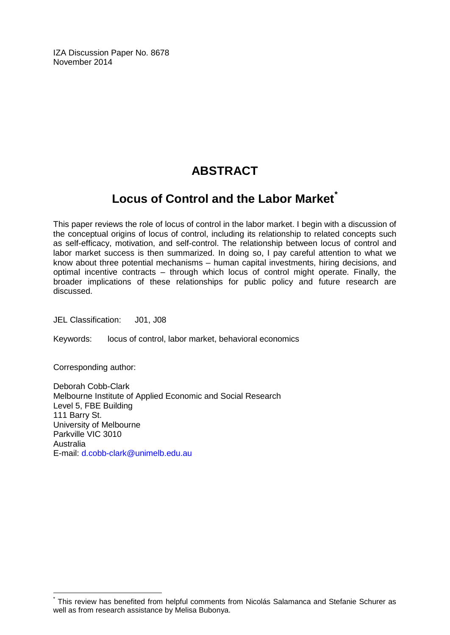IZA Discussion Paper No. 8678 November 2014

# **ABSTRACT**

# **Locus of Control and the Labor Market[\\*](#page-1-0)**

This paper reviews the role of locus of control in the labor market. I begin with a discussion of the conceptual origins of locus of control, including its relationship to related concepts such as self-efficacy, motivation, and self-control. The relationship between locus of control and labor market success is then summarized. In doing so, I pay careful attention to what we know about three potential mechanisms – human capital investments, hiring decisions, and optimal incentive contracts – through which locus of control might operate. Finally, the broader implications of these relationships for public policy and future research are discussed.

JEL Classification: J01, J08

Keywords: locus of control, labor market, behavioral economics

Corresponding author:

Deborah Cobb-Clark Melbourne Institute of Applied Economic and Social Research Level 5, FBE Building 111 Barry St. University of Melbourne Parkville VIC 3010 Australia E-mail: [d.cobb-clark@unimelb.edu.au](mailto:d.cobb-clark@unimelb.edu.au)

This review has benefited from helpful comments from Nicolás Salamanca and Stefanie Schurer as well as from research assistance by Melisa Bubonya.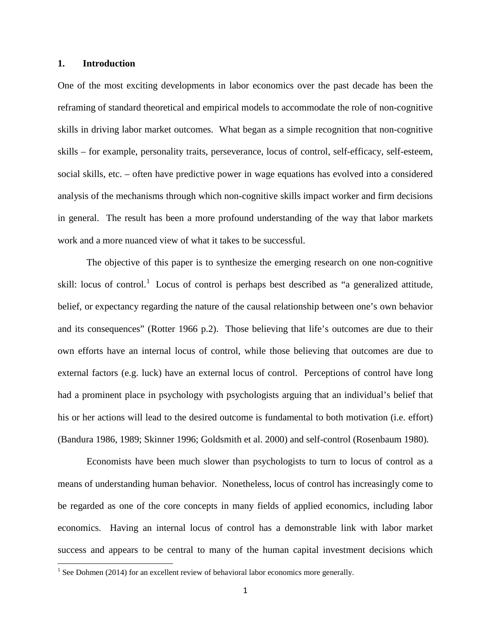#### **1. Introduction**

l

One of the most exciting developments in labor economics over the past decade has been the reframing of standard theoretical and empirical models to accommodate the role of non-cognitive skills in driving labor market outcomes. What began as a simple recognition that non-cognitive skills – for example, personality traits, perseverance, locus of control, self-efficacy, self-esteem, social skills, etc. – often have predictive power in wage equations has evolved into a considered analysis of the mechanisms through which non-cognitive skills impact worker and firm decisions in general. The result has been a more profound understanding of the way that labor markets work and a more nuanced view of what it takes to be successful.

The objective of this paper is to synthesize the emerging research on one non-cognitive skill: locus of control.<sup>[1](#page-3-0)</sup> Locus of control is perhaps best described as "a generalized attitude, belief, or expectancy regarding the nature of the causal relationship between one's own behavior and its consequences" (Rotter 1966 p.2). Those believing that life's outcomes are due to their own efforts have an internal locus of control, while those believing that outcomes are due to external factors (e.g. luck) have an external locus of control. Perceptions of control have long had a prominent place in psychology with psychologists arguing that an individual's belief that his or her actions will lead to the desired outcome is fundamental to both motivation (i.e. effort) (Bandura 1986, 1989; Skinner 1996; Goldsmith et al. 2000) and self-control (Rosenbaum 1980).

Economists have been much slower than psychologists to turn to locus of control as a means of understanding human behavior. Nonetheless, locus of control has increasingly come to be regarded as one of the core concepts in many fields of applied economics, including labor economics. Having an internal locus of control has a demonstrable link with labor market success and appears to be central to many of the human capital investment decisions which

<span id="page-3-0"></span><sup>&</sup>lt;sup>1</sup> See Dohmen (2014) for an excellent review of behavioral labor economics more generally.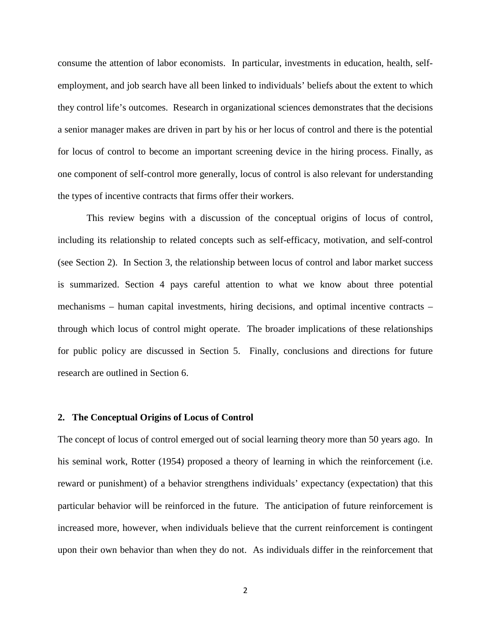consume the attention of labor economists. In particular, investments in education, health, selfemployment, and job search have all been linked to individuals' beliefs about the extent to which they control life's outcomes. Research in organizational sciences demonstrates that the decisions a senior manager makes are driven in part by his or her locus of control and there is the potential for locus of control to become an important screening device in the hiring process. Finally, as one component of self-control more generally, locus of control is also relevant for understanding the types of incentive contracts that firms offer their workers.

This review begins with a discussion of the conceptual origins of locus of control, including its relationship to related concepts such as self-efficacy, motivation, and self-control (see Section 2). In Section 3, the relationship between locus of control and labor market success is summarized. Section 4 pays careful attention to what we know about three potential mechanisms – human capital investments, hiring decisions, and optimal incentive contracts – through which locus of control might operate. The broader implications of these relationships for public policy are discussed in Section 5. Finally, conclusions and directions for future research are outlined in Section 6.

#### **2. The Conceptual Origins of Locus of Control**

The concept of locus of control emerged out of social learning theory more than 50 years ago. In his seminal work, Rotter (1954) proposed a theory of learning in which the reinforcement (i.e. reward or punishment) of a behavior strengthens individuals' expectancy (expectation) that this particular behavior will be reinforced in the future. The anticipation of future reinforcement is increased more, however, when individuals believe that the current reinforcement is contingent upon their own behavior than when they do not. As individuals differ in the reinforcement that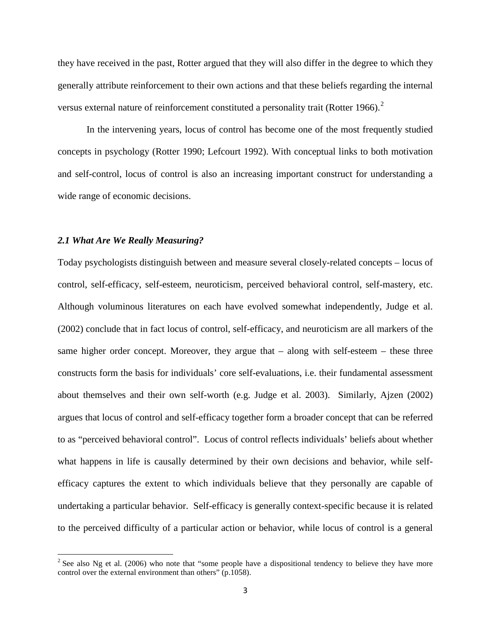they have received in the past, Rotter argued that they will also differ in the degree to which they generally attribute reinforcement to their own actions and that these beliefs regarding the internal versus external nature of reinforcement constituted a personality trait (Rotter 1966).<sup>[2](#page-5-0)</sup>

In the intervening years, locus of control has become one of the most frequently studied concepts in psychology (Rotter 1990; Lefcourt 1992). With conceptual links to both motivation and self-control, locus of control is also an increasing important construct for understanding a wide range of economic decisions.

#### *2.1 What Are We Really Measuring?*

l

Today psychologists distinguish between and measure several closely-related concepts – locus of control, self-efficacy, self-esteem, neuroticism, perceived behavioral control, self-mastery, etc. Although voluminous literatures on each have evolved somewhat independently, Judge et al. (2002) conclude that in fact locus of control, self-efficacy, and neuroticism are all markers of the same higher order concept. Moreover, they argue that – along with self-esteem – these three constructs form the basis for individuals' core self-evaluations, i.e. their fundamental assessment about themselves and their own self-worth (e.g. Judge et al. 2003). Similarly, Ajzen (2002) argues that locus of control and self-efficacy together form a broader concept that can be referred to as "perceived behavioral control". Locus of control reflects individuals' beliefs about whether what happens in life is causally determined by their own decisions and behavior, while selfefficacy captures the extent to which individuals believe that they personally are capable of undertaking a particular behavior. Self-efficacy is generally context-specific because it is related to the perceived difficulty of a particular action or behavior, while locus of control is a general

<span id="page-5-0"></span> $2^2$  See also Ng et al. (2006) who note that "some people have a dispositional tendency to believe they have more control over the external environment than others" (p.1058).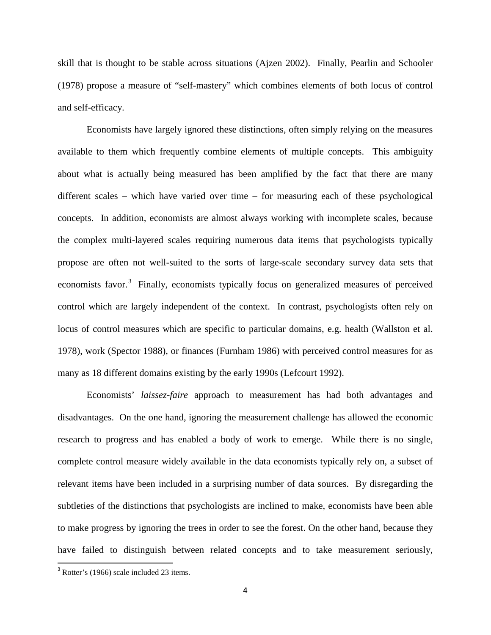skill that is thought to be stable across situations (Ajzen 2002). Finally, Pearlin and Schooler (1978) propose a measure of "self-mastery" which combines elements of both locus of control and self-efficacy.

Economists have largely ignored these distinctions, often simply relying on the measures available to them which frequently combine elements of multiple concepts. This ambiguity about what is actually being measured has been amplified by the fact that there are many different scales – which have varied over time – for measuring each of these psychological concepts. In addition, economists are almost always working with incomplete scales, because the complex multi-layered scales requiring numerous data items that psychologists typically propose are often not well-suited to the sorts of large-scale secondary survey data sets that economists favor.<sup>[3](#page-6-0)</sup> Finally, economists typically focus on generalized measures of perceived control which are largely independent of the context. In contrast, psychologists often rely on locus of control measures which are specific to particular domains, e.g. health (Wallston et al. 1978), work (Spector 1988), or finances (Furnham 1986) with perceived control measures for as many as 18 different domains existing by the early 1990s (Lefcourt 1992).

Economists' *laissez-faire* approach to measurement has had both advantages and disadvantages. On the one hand, ignoring the measurement challenge has allowed the economic research to progress and has enabled a body of work to emerge. While there is no single, complete control measure widely available in the data economists typically rely on, a subset of relevant items have been included in a surprising number of data sources. By disregarding the subtleties of the distinctions that psychologists are inclined to make, economists have been able to make progress by ignoring the trees in order to see the forest. On the other hand, because they have failed to distinguish between related concepts and to take measurement seriously,

<span id="page-6-0"></span><sup>&</sup>lt;sup>3</sup> Rotter's (1966) scale included 23 items.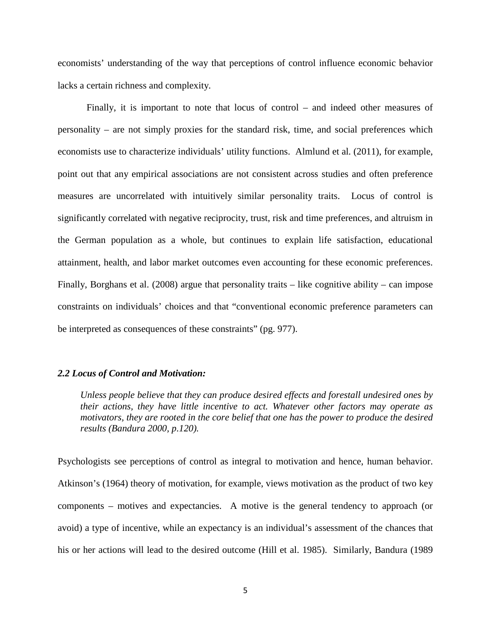economists' understanding of the way that perceptions of control influence economic behavior lacks a certain richness and complexity.

Finally, it is important to note that locus of control – and indeed other measures of personality – are not simply proxies for the standard risk, time, and social preferences which economists use to characterize individuals' utility functions. Almlund et al. (2011), for example, point out that any empirical associations are not consistent across studies and often preference measures are uncorrelated with intuitively similar personality traits. Locus of control is significantly correlated with negative reciprocity, trust, risk and time preferences, and altruism in the German population as a whole, but continues to explain life satisfaction, educational attainment, health, and labor market outcomes even accounting for these economic preferences. Finally, Borghans et al. (2008) argue that personality traits – like cognitive ability – can impose constraints on individuals' choices and that "conventional economic preference parameters can be interpreted as consequences of these constraints" (pg. 977).

#### *2.2 Locus of Control and Motivation:*

*Unless people believe that they can produce desired effects and forestall undesired ones by their actions, they have little incentive to act. Whatever other factors may operate as motivators, they are rooted in the core belief that one has the power to produce the desired results (Bandura 2000, p.120).*

Psychologists see perceptions of control as integral to motivation and hence, human behavior. Atkinson's (1964) theory of motivation, for example, views motivation as the product of two key components – motives and expectancies. A motive is the general tendency to approach (or avoid) a type of incentive, while an expectancy is an individual's assessment of the chances that his or her actions will lead to the desired outcome (Hill et al. 1985). Similarly, Bandura (1989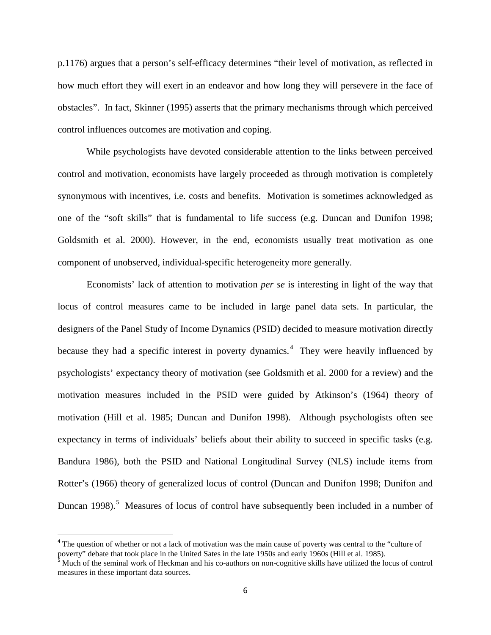p.1176) argues that a person's self-efficacy determines "their level of motivation, as reflected in how much effort they will exert in an endeavor and how long they will persevere in the face of obstacles". In fact, Skinner (1995) asserts that the primary mechanisms through which perceived control influences outcomes are motivation and coping.

While psychologists have devoted considerable attention to the links between perceived control and motivation, economists have largely proceeded as through motivation is completely synonymous with incentives, i.e. costs and benefits. Motivation is sometimes acknowledged as one of the "soft skills" that is fundamental to life success (e.g. Duncan and Dunifon 1998; Goldsmith et al. 2000). However, in the end, economists usually treat motivation as one component of unobserved, individual-specific heterogeneity more generally.

Economists' lack of attention to motivation *per se* is interesting in light of the way that locus of control measures came to be included in large panel data sets. In particular, the designers of the Panel Study of Income Dynamics (PSID) decided to measure motivation directly because they had a specific interest in poverty dynamics. [4](#page-8-0) They were heavily influenced by psychologists' expectancy theory of motivation (see Goldsmith et al. 2000 for a review) and the motivation measures included in the PSID were guided by Atkinson's (1964) theory of motivation (Hill et al. 1985; Duncan and Dunifon 1998). Although psychologists often see expectancy in terms of individuals' beliefs about their ability to succeed in specific tasks (e.g. Bandura 1986), both the PSID and National Longitudinal Survey (NLS) include items from Rotter's (1966) theory of generalized locus of control (Duncan and Dunifon 1998; Dunifon and Duncan 1998).<sup>[5](#page-8-1)</sup> Measures of locus of control have subsequently been included in a number of

<span id="page-8-0"></span> $4$  The question of whether or not a lack of motivation was the main cause of poverty was central to the "culture of poverty" debate that took place in the United Sates in the late 1950s and early 1960s (Hill et al. 1985).<br><sup>5</sup> Much of the seminal work of Heckman and his co-authors on non-cognitive skills have utilized the locus of contro

<span id="page-8-1"></span>measures in these important data sources.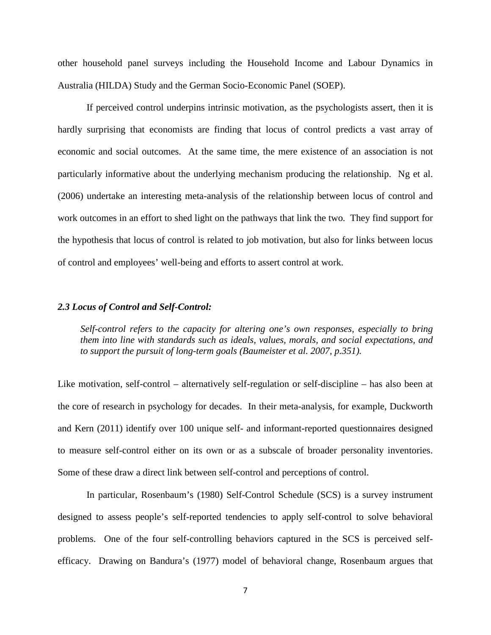other household panel surveys including the Household Income and Labour Dynamics in Australia (HILDA) Study and the German Socio-Economic Panel (SOEP).

If perceived control underpins intrinsic motivation, as the psychologists assert, then it is hardly surprising that economists are finding that locus of control predicts a vast array of economic and social outcomes. At the same time, the mere existence of an association is not particularly informative about the underlying mechanism producing the relationship. Ng et al. (2006) undertake an interesting meta-analysis of the relationship between locus of control and work outcomes in an effort to shed light on the pathways that link the two. They find support for the hypothesis that locus of control is related to job motivation, but also for links between locus of control and employees' well-being and efforts to assert control at work.

#### *2.3 Locus of Control and Self-Control:*

*Self-control refers to the capacity for altering one's own responses, especially to bring them into line with standards such as ideals, values, morals, and social expectations, and to support the pursuit of long-term goals (Baumeister et al. 2007, p.351).*

Like motivation, self-control – alternatively self-regulation or self-discipline – has also been at the core of research in psychology for decades. In their meta-analysis, for example, Duckworth and Kern (2011) identify over 100 unique self- and informant-reported questionnaires designed to measure self-control either on its own or as a subscale of broader personality inventories. Some of these draw a direct link between self-control and perceptions of control.

In particular, Rosenbaum's (1980) Self-Control Schedule (SCS) is a survey instrument designed to assess people's self-reported tendencies to apply self-control to solve behavioral problems. One of the four self-controlling behaviors captured in the SCS is perceived selfefficacy. Drawing on Bandura's (1977) model of behavioral change, Rosenbaum argues that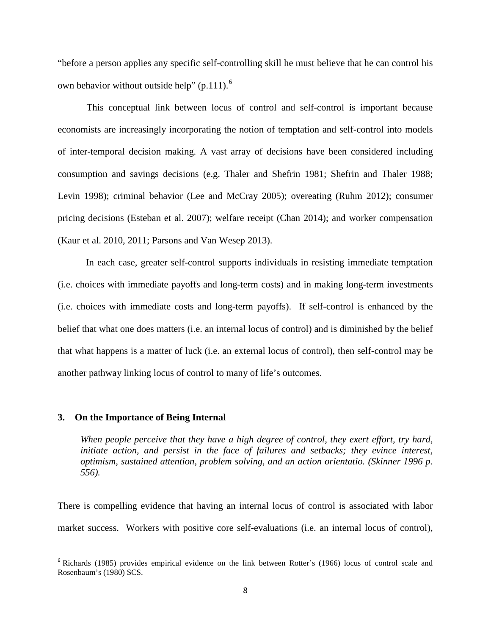"before a person applies any specific self-controlling skill he must believe that he can control his own behavior without outside help" (p.111).<sup>[6](#page-10-0)</sup>

This conceptual link between locus of control and self-control is important because economists are increasingly incorporating the notion of temptation and self-control into models of inter-temporal decision making. A vast array of decisions have been considered including consumption and savings decisions (e.g. Thaler and Shefrin 1981; Shefrin and Thaler 1988; Levin 1998); criminal behavior (Lee and McCray 2005); overeating (Ruhm 2012); consumer pricing decisions (Esteban et al. 2007); welfare receipt (Chan 2014); and worker compensation (Kaur et al. 2010, 2011; Parsons and Van Wesep 2013).

In each case, greater self-control supports individuals in resisting immediate temptation (i.e. choices with immediate payoffs and long-term costs) and in making long-term investments (i.e. choices with immediate costs and long-term payoffs). If self-control is enhanced by the belief that what one does matters (i.e. an internal locus of control) and is diminished by the belief that what happens is a matter of luck (i.e. an external locus of control), then self-control may be another pathway linking locus of control to many of life's outcomes.

#### **3. On the Importance of Being Internal**

 $\overline{\phantom{a}}$ 

*When people perceive that they have a high degree of control, they exert effort, try hard, initiate action, and persist in the face of failures and setbacks; they evince interest, optimism, sustained attention, problem solving, and an action orientatio. (Skinner 1996 p. 556).*

There is compelling evidence that having an internal locus of control is associated with labor market success. Workers with positive core self-evaluations (i.e. an internal locus of control),

<span id="page-10-0"></span><sup>&</sup>lt;sup>6</sup> Richards (1985) provides empirical evidence on the link between Rotter's (1966) locus of control scale and Rosenbaum's (1980) SCS.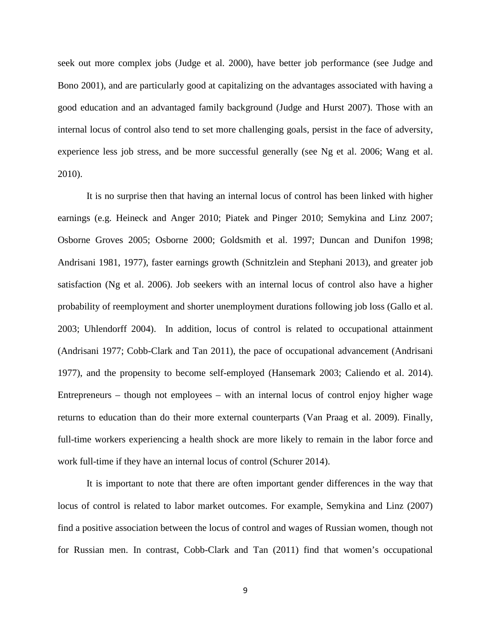seek out more complex jobs (Judge et al. 2000), have better job performance (see Judge and Bono 2001), and are particularly good at capitalizing on the advantages associated with having a good education and an advantaged family background (Judge and Hurst 2007). Those with an internal locus of control also tend to set more challenging goals, persist in the face of adversity, experience less job stress, and be more successful generally (see Ng et al. 2006; Wang et al. 2010).

It is no surprise then that having an internal locus of control has been linked with higher earnings (e.g. Heineck and Anger 2010; Piatek and Pinger 2010; Semykina and Linz 2007; Osborne Groves 2005; Osborne 2000; Goldsmith et al. 1997; Duncan and Dunifon 1998; Andrisani 1981, 1977), faster earnings growth (Schnitzlein and Stephani 2013), and greater job satisfaction (Ng et al. 2006). Job seekers with an internal locus of control also have a higher probability of reemployment and shorter unemployment durations following job loss (Gallo et al. 2003; Uhlendorff 2004). In addition, locus of control is related to occupational attainment (Andrisani 1977; Cobb-Clark and Tan 2011), the pace of occupational advancement (Andrisani 1977), and the propensity to become self-employed (Hansemark 2003; Caliendo et al. 2014). Entrepreneurs – though not employees – with an internal locus of control enjoy higher wage returns to education than do their more external counterparts (Van Praag et al. 2009). Finally, full-time workers experiencing a health shock are more likely to remain in the labor force and work full-time if they have an internal locus of control (Schurer 2014).

It is important to note that there are often important gender differences in the way that locus of control is related to labor market outcomes. For example, Semykina and Linz (2007) find a positive association between the locus of control and wages of Russian women, though not for Russian men. In contrast, Cobb-Clark and Tan (2011) find that women's occupational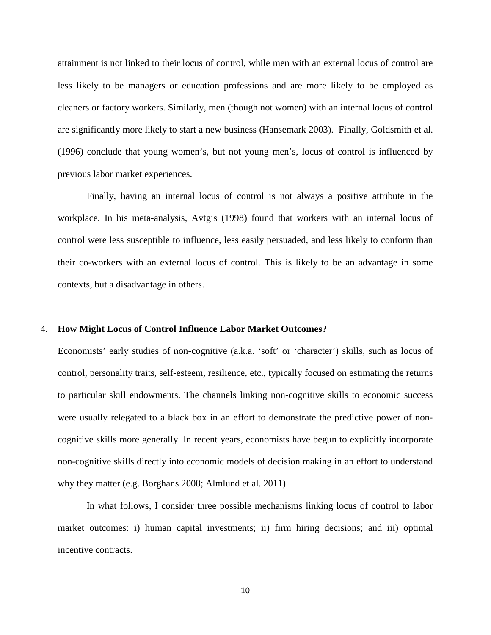attainment is not linked to their locus of control, while men with an external locus of control are less likely to be managers or education professions and are more likely to be employed as cleaners or factory workers. Similarly, men (though not women) with an internal locus of control are significantly more likely to start a new business (Hansemark 2003). Finally, Goldsmith et al. (1996) conclude that young women's, but not young men's, locus of control is influenced by previous labor market experiences.

Finally, having an internal locus of control is not always a positive attribute in the workplace. In his meta-analysis, Avtgis (1998) found that workers with an internal locus of control were less susceptible to influence, less easily persuaded, and less likely to conform than their co-workers with an external locus of control. This is likely to be an advantage in some contexts, but a disadvantage in others.

#### 4. **How Might Locus of Control Influence Labor Market Outcomes?**

Economists' early studies of non-cognitive (a.k.a. 'soft' or 'character') skills, such as locus of control, personality traits, self-esteem, resilience, etc., typically focused on estimating the returns to particular skill endowments. The channels linking non-cognitive skills to economic success were usually relegated to a black box in an effort to demonstrate the predictive power of noncognitive skills more generally. In recent years, economists have begun to explicitly incorporate non-cognitive skills directly into economic models of decision making in an effort to understand why they matter (e.g. Borghans 2008; Almlund et al. 2011).

In what follows, I consider three possible mechanisms linking locus of control to labor market outcomes: i) human capital investments; ii) firm hiring decisions; and iii) optimal incentive contracts.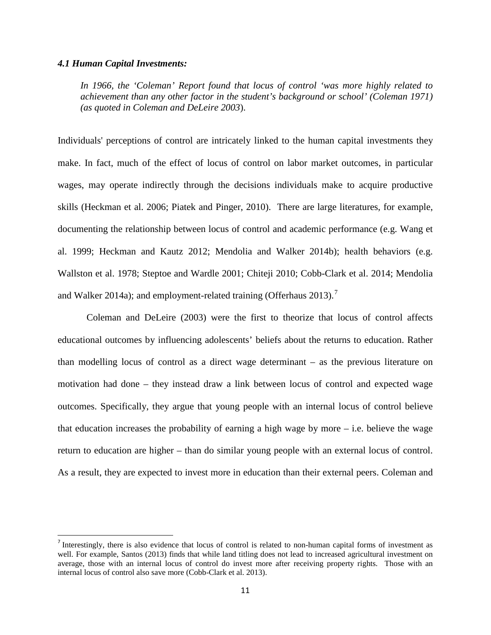#### *4.1 Human Capital Investments:*

l

*In 1966, the 'Coleman' Report found that locus of control 'was more highly related to achievement than any other factor in the student's background or school' (Coleman 1971) (as quoted in Coleman and DeLeire 2003*).

Individuals' perceptions of control are intricately linked to the human capital investments they make. In fact, much of the effect of locus of control on labor market outcomes, in particular wages, may operate indirectly through the decisions individuals make to acquire productive skills (Heckman et al. 2006; Piatek and Pinger, 2010). There are large literatures, for example, documenting the relationship between locus of control and academic performance (e.g. Wang et al. 1999; Heckman and Kautz 2012; Mendolia and Walker 2014b); health behaviors (e.g. Wallston et al. 1978; Steptoe and Wardle 2001; Chiteji 2010; Cobb-Clark et al. 2014; Mendolia and Walker 2014a); and employment-related training (Offerhaus 2013).<sup>[7](#page-13-0)</sup>

Coleman and DeLeire (2003) were the first to theorize that locus of control affects educational outcomes by influencing adolescents' beliefs about the returns to education. Rather than modelling locus of control as a direct wage determinant – as the previous literature on motivation had done – they instead draw a link between locus of control and expected wage outcomes. Specifically, they argue that young people with an internal locus of control believe that education increases the probability of earning a high wage by more  $-$  i.e. believe the wage return to education are higher – than do similar young people with an external locus of control. As a result, they are expected to invest more in education than their external peers. Coleman and

<span id="page-13-0"></span><sup>7</sup> Interestingly, there is also evidence that locus of control is related to non-human capital forms of investment as well. For example, Santos (2013) finds that while land titling does not lead to increased agricultural investment on average, those with an internal locus of control do invest more after receiving property rights. Those with an internal locus of control also save more (Cobb-Clark et al. 2013).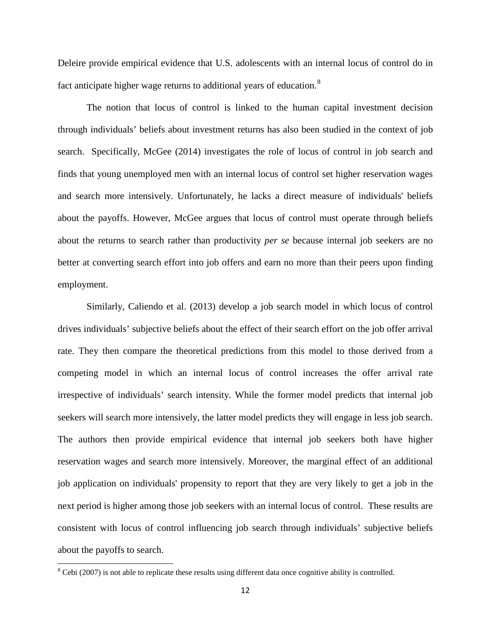Deleire provide empirical evidence that U.S. adolescents with an internal locus of control do in fact anticipate higher wage returns to additional years of education.<sup>[8](#page-14-0)</sup>

The notion that locus of control is linked to the human capital investment decision through individuals' beliefs about investment returns has also been studied in the context of job search. Specifically, McGee (2014) investigates the role of locus of control in job search and finds that young unemployed men with an internal locus of control set higher reservation wages and search more intensively. Unfortunately, he lacks a direct measure of individuals' beliefs about the payoffs. However, McGee argues that locus of control must operate through beliefs about the returns to search rather than productivity *per se* because internal job seekers are no better at converting search effort into job offers and earn no more than their peers upon finding employment.

Similarly, Caliendo et al. (2013) develop a job search model in which locus of control drives individuals' subjective beliefs about the effect of their search effort on the job offer arrival rate. They then compare the theoretical predictions from this model to those derived from a competing model in which an internal locus of control increases the offer arrival rate irrespective of individuals' search intensity. While the former model predicts that internal job seekers will search more intensively, the latter model predicts they will engage in less job search. The authors then provide empirical evidence that internal job seekers both have higher reservation wages and search more intensively. Moreover, the marginal effect of an additional job application on individuals' propensity to report that they are very likely to get a job in the next period is higher among those job seekers with an internal locus of control. These results are consistent with locus of control influencing job search through individuals' subjective beliefs about the payoffs to search.

<span id="page-14-0"></span><sup>&</sup>lt;sup>8</sup> Cebi (2007) is not able to replicate these results using different data once cognitive ability is controlled.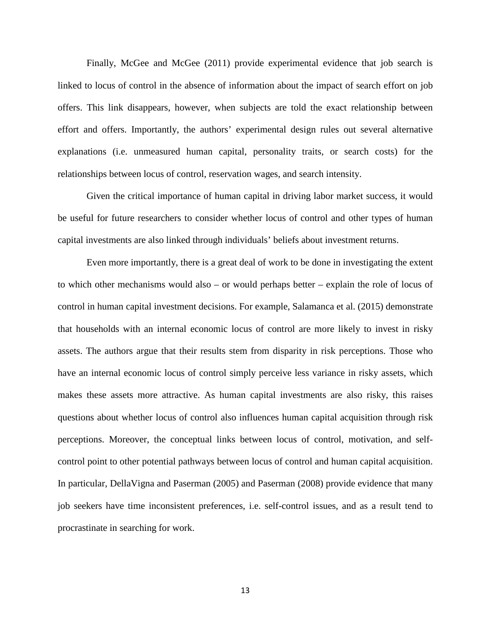Finally, McGee and McGee (2011) provide experimental evidence that job search is linked to locus of control in the absence of information about the impact of search effort on job offers. This link disappears, however, when subjects are told the exact relationship between effort and offers. Importantly, the authors' experimental design rules out several alternative explanations (i.e. unmeasured human capital, personality traits, or search costs) for the relationships between locus of control, reservation wages, and search intensity.

Given the critical importance of human capital in driving labor market success, it would be useful for future researchers to consider whether locus of control and other types of human capital investments are also linked through individuals' beliefs about investment returns.

Even more importantly, there is a great deal of work to be done in investigating the extent to which other mechanisms would also – or would perhaps better – explain the role of locus of control in human capital investment decisions. For example, Salamanca et al. (2015) demonstrate that households with an internal economic locus of control are more likely to invest in risky assets. The authors argue that their results stem from disparity in risk perceptions. Those who have an internal economic locus of control simply perceive less variance in risky assets, which makes these assets more attractive. As human capital investments are also risky, this raises questions about whether locus of control also influences human capital acquisition through risk perceptions. Moreover, the conceptual links between locus of control, motivation, and selfcontrol point to other potential pathways between locus of control and human capital acquisition. In particular, DellaVigna and Paserman (2005) and Paserman (2008) provide evidence that many job seekers have time inconsistent preferences, i.e. self-control issues, and as a result tend to procrastinate in searching for work.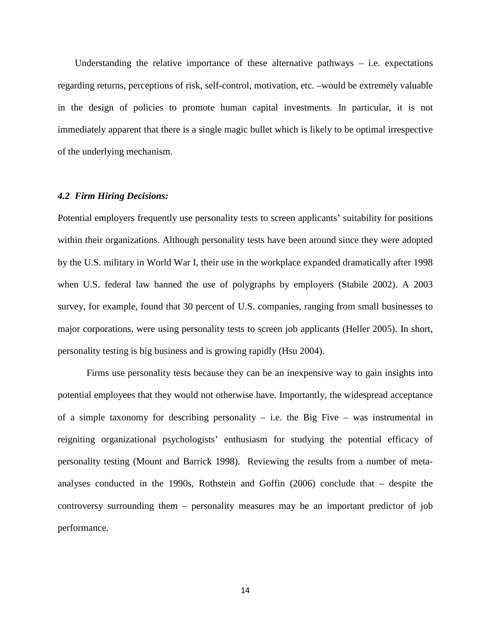Understanding the relative importance of these alternative pathways – i.e. expectations regarding returns, perceptions of risk, self-control, motivation, etc. –would be extremely valuable in the design of policies to promote human capital investments. In particular, it is not immediately apparent that there is a single magic bullet which is likely to be optimal irrespective of the underlying mechanism.

#### *4.2 Firm Hiring Decisions:*

Potential employers frequently use personality tests to screen applicants' suitability for positions within their organizations. Although personality tests have been around since they were adopted by the U.S. military in World War I, their use in the workplace expanded dramatically after 1998 when U.S. federal law banned the use of polygraphs by employers (Stabile 2002). A 2003 survey, for example, found that 30 percent of U.S. companies, ranging from small businesses to major corporations, were using personality tests to screen job applicants (Heller 2005). In short, personality testing is big business and is growing rapidly (Hsu 2004).

Firms use personality tests because they can be an inexpensive way to gain insights into potential employees that they would not otherwise have. Importantly, the widespread acceptance of a simple taxonomy for describing personality – i.e. the Big Five – was instrumental in reigniting organizational psychologists' enthusiasm for studying the potential efficacy of personality testing (Mount and Barrick 1998). Reviewing the results from a number of metaanalyses conducted in the 1990s, Rothstein and Goffin (2006) conclude that – despite the controversy surrounding them – personality measures may be an important predictor of job performance.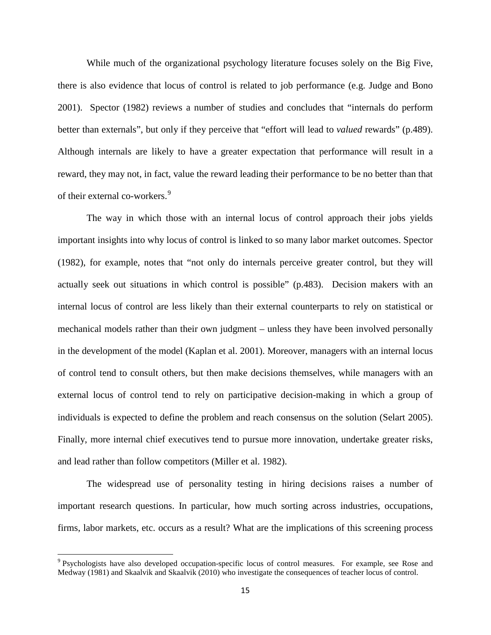While much of the organizational psychology literature focuses solely on the Big Five, there is also evidence that locus of control is related to job performance (e.g. Judge and Bono 2001). Spector (1982) reviews a number of studies and concludes that "internals do perform better than externals", but only if they perceive that "effort will lead to *valued* rewards" (p.489). Although internals are likely to have a greater expectation that performance will result in a reward, they may not, in fact, value the reward leading their performance to be no better than that of their external co-workers. [9](#page-17-0)

The way in which those with an internal locus of control approach their jobs yields important insights into why locus of control is linked to so many labor market outcomes. Spector (1982), for example, notes that "not only do internals perceive greater control, but they will actually seek out situations in which control is possible" (p.483). Decision makers with an internal locus of control are less likely than their external counterparts to rely on statistical or mechanical models rather than their own judgment – unless they have been involved personally in the development of the model (Kaplan et al. 2001). Moreover, managers with an internal locus of control tend to consult others, but then make decisions themselves, while managers with an external locus of control tend to rely on participative decision-making in which a group of individuals is expected to define the problem and reach consensus on the solution (Selart 2005). Finally, more internal chief executives tend to pursue more innovation, undertake greater risks, and lead rather than follow competitors (Miller et al. 1982).

The widespread use of personality testing in hiring decisions raises a number of important research questions. In particular, how much sorting across industries, occupations, firms, labor markets, etc. occurs as a result? What are the implications of this screening process

<span id="page-17-0"></span><sup>9</sup> Psychologists have also developed occupation-specific locus of control measures. For example, see Rose and Medway (1981) and Skaalvik and Skaalvik (2010) who investigate the consequences of teacher locus of control.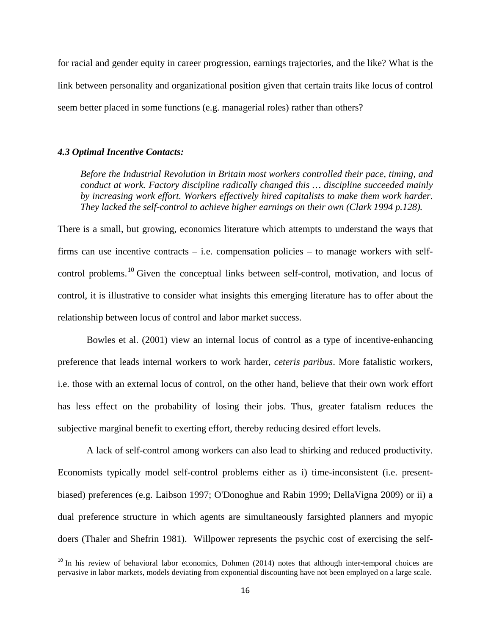for racial and gender equity in career progression, earnings trajectories, and the like? What is the link between personality and organizational position given that certain traits like locus of control seem better placed in some functions (e.g. managerial roles) rather than others?

#### *4.3 Optimal Incentive Contacts:*

 $\overline{\phantom{a}}$ 

*Before the Industrial Revolution in Britain most workers controlled their pace, timing, and conduct at work. Factory discipline radically changed this … discipline succeeded mainly by increasing work effort. Workers effectively hired capitalists to make them work harder. They lacked the self-control to achieve higher earnings on their own (Clark 1994 p.128).*

There is a small, but growing, economics literature which attempts to understand the ways that firms can use incentive contracts – i.e. compensation policies – to manage workers with self-control problems.<sup>[10](#page-18-0)</sup> Given the conceptual links between self-control, motivation, and locus of control, it is illustrative to consider what insights this emerging literature has to offer about the relationship between locus of control and labor market success.

Bowles et al. (2001) view an internal locus of control as a type of incentive-enhancing preference that leads internal workers to work harder, *ceteris paribus*. More fatalistic workers, i.e. those with an external locus of control, on the other hand, believe that their own work effort has less effect on the probability of losing their jobs. Thus, greater fatalism reduces the subjective marginal benefit to exerting effort, thereby reducing desired effort levels.

A lack of self-control among workers can also lead to shirking and reduced productivity. Economists typically model self-control problems either as i) time-inconsistent (i.e. presentbiased) preferences (e.g. Laibson 1997; O'Donoghue and Rabin 1999; DellaVigna 2009) or ii) a dual preference structure in which agents are simultaneously farsighted planners and myopic doers (Thaler and Shefrin 1981). Willpower represents the psychic cost of exercising the self-

<span id="page-18-0"></span><sup>&</sup>lt;sup>10</sup> In his review of behavioral labor economics, Dohmen (2014) notes that although inter-temporal choices are pervasive in labor markets, models deviating from exponential discounting have not been employed on a large scale.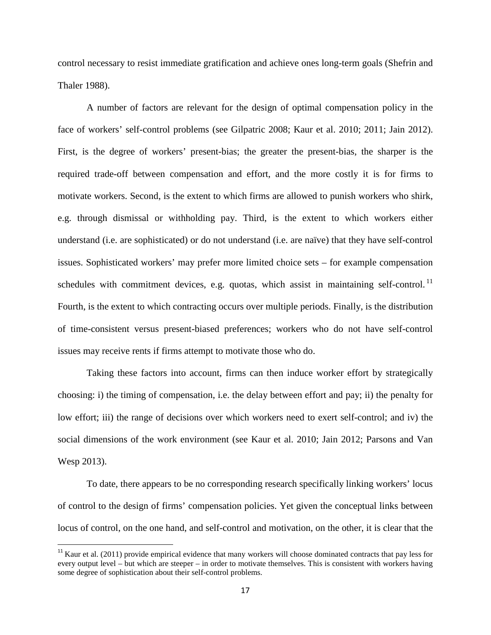control necessary to resist immediate gratification and achieve ones long-term goals (Shefrin and Thaler 1988).

A number of factors are relevant for the design of optimal compensation policy in the face of workers' self-control problems (see Gilpatric 2008; Kaur et al. 2010; 2011; Jain 2012). First, is the degree of workers' present-bias; the greater the present-bias, the sharper is the required trade-off between compensation and effort, and the more costly it is for firms to motivate workers. Second, is the extent to which firms are allowed to punish workers who shirk, e.g. through dismissal or withholding pay. Third, is the extent to which workers either understand (i.e. are sophisticated) or do not understand (i.e. are naïve) that they have self-control issues. Sophisticated workers' may prefer more limited choice sets – for example compensation schedules with commitment devices, e.g. quotas, which assist in maintaining self-control.<sup>[11](#page-19-0)</sup> Fourth, is the extent to which contracting occurs over multiple periods. Finally, is the distribution of time-consistent versus present-biased preferences; workers who do not have self-control issues may receive rents if firms attempt to motivate those who do.

Taking these factors into account, firms can then induce worker effort by strategically choosing: i) the timing of compensation, i.e. the delay between effort and pay; ii) the penalty for low effort; iii) the range of decisions over which workers need to exert self-control; and iv) the social dimensions of the work environment (see Kaur et al. 2010; Jain 2012; Parsons and Van Wesp 2013).

To date, there appears to be no corresponding research specifically linking workers' locus of control to the design of firms' compensation policies. Yet given the conceptual links between locus of control, on the one hand, and self-control and motivation, on the other, it is clear that the

<span id="page-19-0"></span> $11$  Kaur et al. (2011) provide empirical evidence that many workers will choose dominated contracts that pay less for every output level – but which are steeper – in order to motivate themselves. This is consistent with workers having some degree of sophistication about their self-control problems.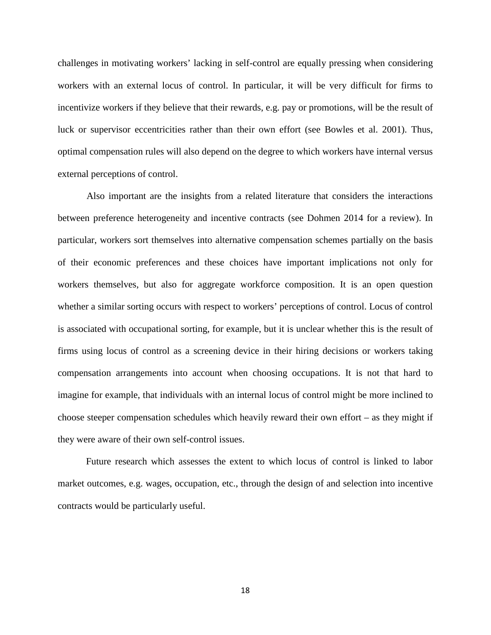challenges in motivating workers' lacking in self-control are equally pressing when considering workers with an external locus of control. In particular, it will be very difficult for firms to incentivize workers if they believe that their rewards, e.g. pay or promotions, will be the result of luck or supervisor eccentricities rather than their own effort (see Bowles et al. 2001). Thus, optimal compensation rules will also depend on the degree to which workers have internal versus external perceptions of control.

Also important are the insights from a related literature that considers the interactions between preference heterogeneity and incentive contracts (see Dohmen 2014 for a review). In particular, workers sort themselves into alternative compensation schemes partially on the basis of their economic preferences and these choices have important implications not only for workers themselves, but also for aggregate workforce composition. It is an open question whether a similar sorting occurs with respect to workers' perceptions of control. Locus of control is associated with occupational sorting, for example, but it is unclear whether this is the result of firms using locus of control as a screening device in their hiring decisions or workers taking compensation arrangements into account when choosing occupations. It is not that hard to imagine for example, that individuals with an internal locus of control might be more inclined to choose steeper compensation schedules which heavily reward their own effort – as they might if they were aware of their own self-control issues.

Future research which assesses the extent to which locus of control is linked to labor market outcomes, e.g. wages, occupation, etc., through the design of and selection into incentive contracts would be particularly useful.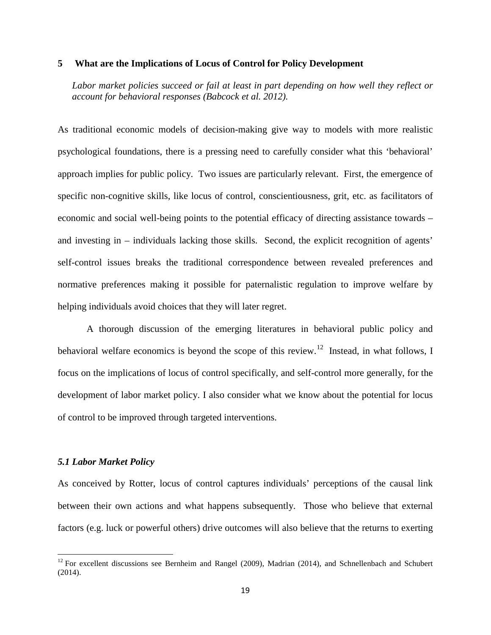#### **5 What are the Implications of Locus of Control for Policy Development**

*Labor market policies succeed or fail at least in part depending on how well they reflect or account for behavioral responses (Babcock et al. 2012).*

As traditional economic models of decision-making give way to models with more realistic psychological foundations, there is a pressing need to carefully consider what this 'behavioral' approach implies for public policy. Two issues are particularly relevant. First, the emergence of specific non-cognitive skills, like locus of control, conscientiousness, grit, etc. as facilitators of economic and social well-being points to the potential efficacy of directing assistance towards – and investing in – individuals lacking those skills. Second, the explicit recognition of agents' self-control issues breaks the traditional correspondence between revealed preferences and normative preferences making it possible for paternalistic regulation to improve welfare by helping individuals avoid choices that they will later regret.

A thorough discussion of the emerging literatures in behavioral public policy and behavioral welfare economics is beyond the scope of this review.<sup>[12](#page-21-0)</sup> Instead, in what follows, I focus on the implications of locus of control specifically, and self-control more generally, for the development of labor market policy. I also consider what we know about the potential for locus of control to be improved through targeted interventions.

#### *5.1 Labor Market Policy*

l

As conceived by Rotter, locus of control captures individuals' perceptions of the causal link between their own actions and what happens subsequently. Those who believe that external factors (e.g. luck or powerful others) drive outcomes will also believe that the returns to exerting

<span id="page-21-0"></span> $12$  For excellent discussions see Bernheim and Rangel (2009), Madrian (2014), and Schnellenbach and Schubert (2014).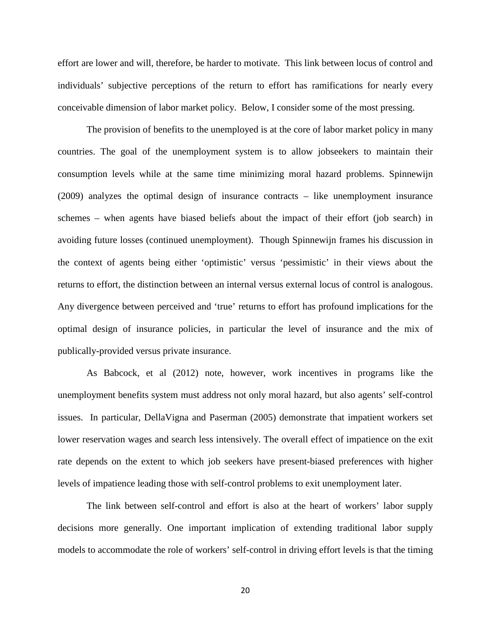effort are lower and will, therefore, be harder to motivate. This link between locus of control and individuals' subjective perceptions of the return to effort has ramifications for nearly every conceivable dimension of labor market policy. Below, I consider some of the most pressing.

The provision of benefits to the unemployed is at the core of labor market policy in many countries. The goal of the unemployment system is to allow jobseekers to maintain their consumption levels while at the same time minimizing moral hazard problems. Spinnewijn (2009) analyzes the optimal design of insurance contracts – like unemployment insurance schemes – when agents have biased beliefs about the impact of their effort (job search) in avoiding future losses (continued unemployment). Though Spinnewijn frames his discussion in the context of agents being either 'optimistic' versus 'pessimistic' in their views about the returns to effort, the distinction between an internal versus external locus of control is analogous. Any divergence between perceived and 'true' returns to effort has profound implications for the optimal design of insurance policies, in particular the level of insurance and the mix of publically-provided versus private insurance.

As Babcock, et al (2012) note, however, work incentives in programs like the unemployment benefits system must address not only moral hazard, but also agents' self-control issues. In particular, DellaVigna and Paserman (2005) demonstrate that impatient workers set lower reservation wages and search less intensively. The overall effect of impatience on the exit rate depends on the extent to which job seekers have present-biased preferences with higher levels of impatience leading those with self-control problems to exit unemployment later.

The link between self-control and effort is also at the heart of workers' labor supply decisions more generally. One important implication of extending traditional labor supply models to accommodate the role of workers' self-control in driving effort levels is that the timing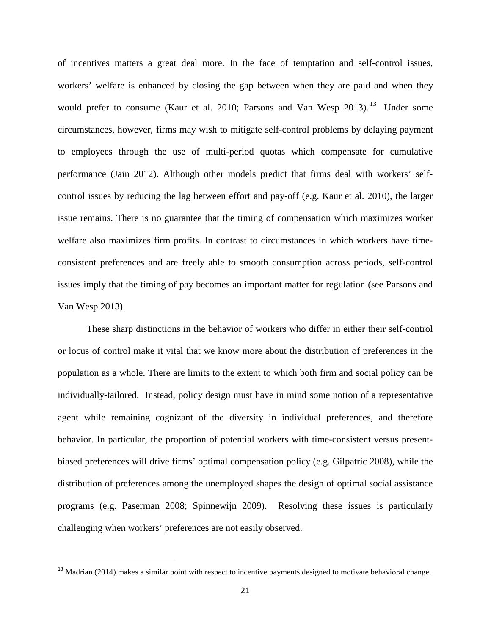of incentives matters a great deal more. In the face of temptation and self-control issues, workers' welfare is enhanced by closing the gap between when they are paid and when they would prefer to consume (Kaur et al. 2010; Parsons and Van Wesp 20[13](#page-23-0)).<sup>13</sup> Under some circumstances, however, firms may wish to mitigate self-control problems by delaying payment to employees through the use of multi-period quotas which compensate for cumulative performance (Jain 2012). Although other models predict that firms deal with workers' selfcontrol issues by reducing the lag between effort and pay-off (e.g. Kaur et al. 2010), the larger issue remains. There is no guarantee that the timing of compensation which maximizes worker welfare also maximizes firm profits. In contrast to circumstances in which workers have timeconsistent preferences and are freely able to smooth consumption across periods, self-control issues imply that the timing of pay becomes an important matter for regulation (see Parsons and Van Wesp 2013).

These sharp distinctions in the behavior of workers who differ in either their self-control or locus of control make it vital that we know more about the distribution of preferences in the population as a whole. There are limits to the extent to which both firm and social policy can be individually-tailored. Instead, policy design must have in mind some notion of a representative agent while remaining cognizant of the diversity in individual preferences, and therefore behavior. In particular, the proportion of potential workers with time-consistent versus presentbiased preferences will drive firms' optimal compensation policy (e.g. Gilpatric 2008), while the distribution of preferences among the unemployed shapes the design of optimal social assistance programs (e.g. Paserman 2008; Spinnewijn 2009). Resolving these issues is particularly challenging when workers' preferences are not easily observed.

 $\overline{\phantom{a}}$ 

<span id="page-23-0"></span> $13$  Madrian (2014) makes a similar point with respect to incentive payments designed to motivate behavioral change.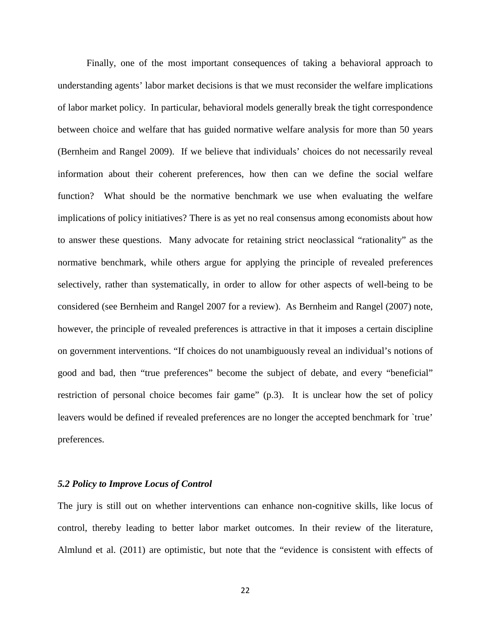Finally, one of the most important consequences of taking a behavioral approach to understanding agents' labor market decisions is that we must reconsider the welfare implications of labor market policy. In particular, behavioral models generally break the tight correspondence between choice and welfare that has guided normative welfare analysis for more than 50 years (Bernheim and Rangel 2009). If we believe that individuals' choices do not necessarily reveal information about their coherent preferences, how then can we define the social welfare function? What should be the normative benchmark we use when evaluating the welfare implications of policy initiatives? There is as yet no real consensus among economists about how to answer these questions. Many advocate for retaining strict neoclassical "rationality" as the normative benchmark, while others argue for applying the principle of revealed preferences selectively, rather than systematically, in order to allow for other aspects of well-being to be considered (see Bernheim and Rangel 2007 for a review). As Bernheim and Rangel (2007) note, however, the principle of revealed preferences is attractive in that it imposes a certain discipline on government interventions. "If choices do not unambiguously reveal an individual's notions of good and bad, then "true preferences" become the subject of debate, and every "beneficial" restriction of personal choice becomes fair game" (p.3). It is unclear how the set of policy leavers would be defined if revealed preferences are no longer the accepted benchmark for `true' preferences.

#### *5.2 Policy to Improve Locus of Control*

The jury is still out on whether interventions can enhance non-cognitive skills, like locus of control, thereby leading to better labor market outcomes. In their review of the literature, Almlund et al. (2011) are optimistic, but note that the "evidence is consistent with effects of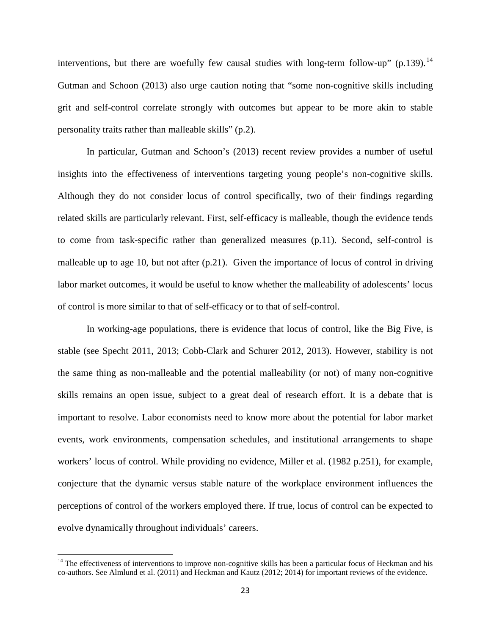interventions, but there are woefully few causal studies with long-term follow-up" (p.139).<sup>[14](#page-25-0)</sup> Gutman and Schoon (2013) also urge caution noting that "some non-cognitive skills including grit and self-control correlate strongly with outcomes but appear to be more akin to stable personality traits rather than malleable skills" (p.2).

In particular, Gutman and Schoon's (2013) recent review provides a number of useful insights into the effectiveness of interventions targeting young people's non-cognitive skills. Although they do not consider locus of control specifically, two of their findings regarding related skills are particularly relevant. First, self-efficacy is malleable, though the evidence tends to come from task-specific rather than generalized measures (p.11). Second, self-control is malleable up to age 10, but not after (p.21). Given the importance of locus of control in driving labor market outcomes, it would be useful to know whether the malleability of adolescents' locus of control is more similar to that of self-efficacy or to that of self-control.

In working-age populations, there is evidence that locus of control, like the Big Five, is stable (see Specht 2011, 2013; Cobb-Clark and Schurer 2012, 2013). However, stability is not the same thing as non-malleable and the potential malleability (or not) of many non-cognitive skills remains an open issue, subject to a great deal of research effort. It is a debate that is important to resolve. Labor economists need to know more about the potential for labor market events, work environments, compensation schedules, and institutional arrangements to shape workers' locus of control. While providing no evidence, Miller et al. (1982 p.251), for example, conjecture that the dynamic versus stable nature of the workplace environment influences the perceptions of control of the workers employed there. If true, locus of control can be expected to evolve dynamically throughout individuals' careers.

<span id="page-25-0"></span> $14$  The effectiveness of interventions to improve non-cognitive skills has been a particular focus of Heckman and his co-authors. See Almlund et al. (2011) and Heckman and Kautz (2012; 2014) for important reviews of the evidence.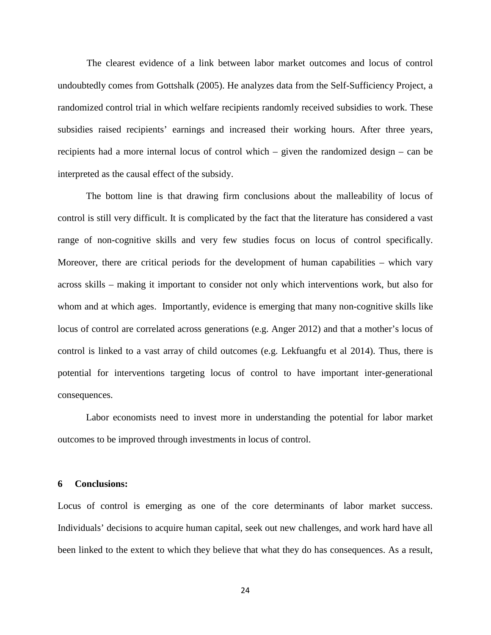The clearest evidence of a link between labor market outcomes and locus of control undoubtedly comes from Gottshalk (2005). He analyzes data from the Self-Sufficiency Project, a randomized control trial in which welfare recipients randomly received subsidies to work. These subsidies raised recipients' earnings and increased their working hours. After three years, recipients had a more internal locus of control which – given the randomized design – can be interpreted as the causal effect of the subsidy.

The bottom line is that drawing firm conclusions about the malleability of locus of control is still very difficult. It is complicated by the fact that the literature has considered a vast range of non-cognitive skills and very few studies focus on locus of control specifically. Moreover, there are critical periods for the development of human capabilities – which vary across skills – making it important to consider not only which interventions work, but also for whom and at which ages. Importantly, evidence is emerging that many non-cognitive skills like locus of control are correlated across generations (e.g. Anger 2012) and that a mother's locus of control is linked to a vast array of child outcomes (e.g. Lekfuangfu et al 2014). Thus, there is potential for interventions targeting locus of control to have important inter-generational consequences.

Labor economists need to invest more in understanding the potential for labor market outcomes to be improved through investments in locus of control.

#### **6 Conclusions:**

Locus of control is emerging as one of the core determinants of labor market success. Individuals' decisions to acquire human capital, seek out new challenges, and work hard have all been linked to the extent to which they believe that what they do has consequences. As a result,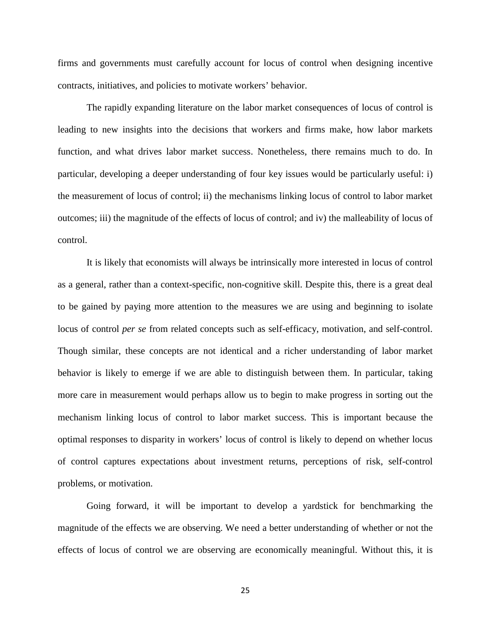firms and governments must carefully account for locus of control when designing incentive contracts, initiatives, and policies to motivate workers' behavior.

The rapidly expanding literature on the labor market consequences of locus of control is leading to new insights into the decisions that workers and firms make, how labor markets function, and what drives labor market success. Nonetheless, there remains much to do. In particular, developing a deeper understanding of four key issues would be particularly useful: i) the measurement of locus of control; ii) the mechanisms linking locus of control to labor market outcomes; iii) the magnitude of the effects of locus of control; and iv) the malleability of locus of control.

It is likely that economists will always be intrinsically more interested in locus of control as a general, rather than a context-specific, non-cognitive skill. Despite this, there is a great deal to be gained by paying more attention to the measures we are using and beginning to isolate locus of control *per se* from related concepts such as self-efficacy, motivation, and self-control. Though similar, these concepts are not identical and a richer understanding of labor market behavior is likely to emerge if we are able to distinguish between them. In particular, taking more care in measurement would perhaps allow us to begin to make progress in sorting out the mechanism linking locus of control to labor market success. This is important because the optimal responses to disparity in workers' locus of control is likely to depend on whether locus of control captures expectations about investment returns, perceptions of risk, self-control problems, or motivation.

Going forward, it will be important to develop a yardstick for benchmarking the magnitude of the effects we are observing. We need a better understanding of whether or not the effects of locus of control we are observing are economically meaningful. Without this, it is

25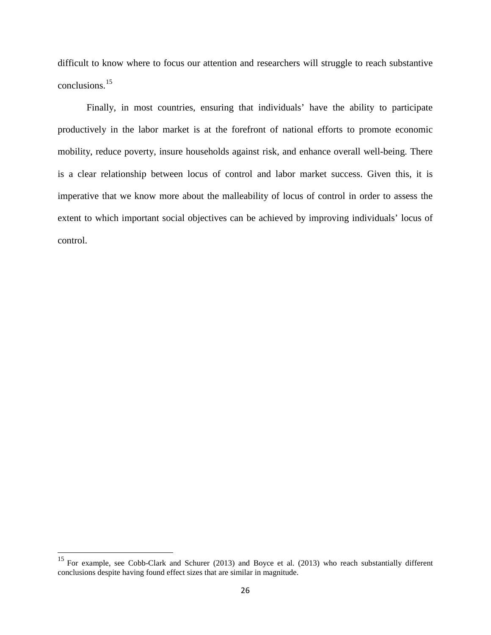difficult to know where to focus our attention and researchers will struggle to reach substantive conclusions.[15](#page-28-0)

Finally, in most countries, ensuring that individuals' have the ability to participate productively in the labor market is at the forefront of national efforts to promote economic mobility, reduce poverty, insure households against risk, and enhance overall well-being. There is a clear relationship between locus of control and labor market success. Given this, it is imperative that we know more about the malleability of locus of control in order to assess the extent to which important social objectives can be achieved by improving individuals' locus of control.

<span id="page-28-0"></span><sup>&</sup>lt;sup>15</sup> For example, see Cobb-Clark and Schurer (2013) and Boyce et al. (2013) who reach substantially different conclusions despite having found effect sizes that are similar in magnitude.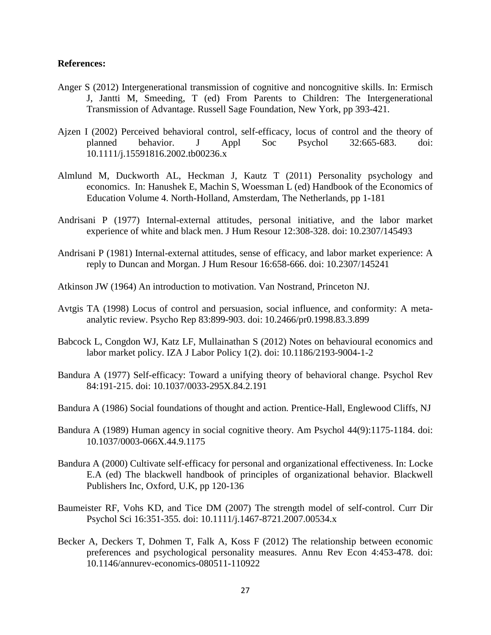#### **References:**

- Anger S (2012) Intergenerational transmission of cognitive and noncognitive skills. In: Ermisch J, Jantti M, Smeeding, T (ed) From Parents to Children: The Intergenerational Transmission of Advantage. Russell Sage Foundation, New York, pp 393-421.
- Ajzen I (2002) Perceived behavioral control, self-efficacy, locus of control and the theory of planned behavior. J Appl Soc Psychol 32:665-683. doi: 10.1111/j.15591816.2002.tb00236.x
- Almlund M, Duckworth AL, Heckman J, Kautz T (2011) Personality psychology and economics. In: Hanushek E, Machin S, Woessman L (ed) Handbook of the Economics of Education Volume 4. North-Holland, Amsterdam, The Netherlands, pp 1-181
- Andrisani P (1977) Internal-external attitudes, personal initiative, and the labor market experience of white and black men. J Hum Resour 12:308-328. doi: 10.2307/145493
- Andrisani P (1981) Internal-external attitudes, sense of efficacy, and labor market experience: A reply to Duncan and Morgan. J Hum Resour 16:658-666. doi: 10.2307/145241
- Atkinson JW (1964) An introduction to motivation. Van Nostrand, Princeton NJ.
- Avtgis TA (1998) Locus of control and persuasion, social influence, and conformity: A metaanalytic review. Psycho Rep 83:899-903. doi: 10.2466/pr0.1998.83.3.899
- Babcock L, Congdon WJ, Katz LF, Mullainathan S (2012) Notes on behavioural economics and labor market policy. IZA J Labor Policy 1(2). doi: 10.1186/2193-9004-1-2
- Bandura A (1977) Self-efficacy: Toward a unifying theory of behavioral change. Psychol Rev 84:191-215. doi: 10.1037/0033-295X.84.2.191
- Bandura A (1986) Social foundations of thought and action*.* Prentice-Hall, Englewood Cliffs, NJ
- Bandura A (1989) Human agency in social cognitive theory. Am Psychol 44(9):1175-1184. doi: 10.1037/0003-066X.44.9.1175
- Bandura A (2000) Cultivate self-efficacy for personal and organizational effectiveness. In: Locke E.A (ed) The blackwell handbook of principles of organizational behavior. Blackwell Publishers Inc, Oxford, U.K, pp 120-136
- Baumeister RF, Vohs KD, and Tice DM (2007) The strength model of self-control. Curr Dir Psychol Sci 16:351-355*.* doi: 10.1111/j.1467-8721.2007.00534.x
- Becker A, Deckers T, Dohmen T, Falk A, Koss F (2012) The relationship between economic preferences and psychological personality measures. Annu Rev Econ 4:453-478. doi: 10.1146/annurev-economics-080511-110922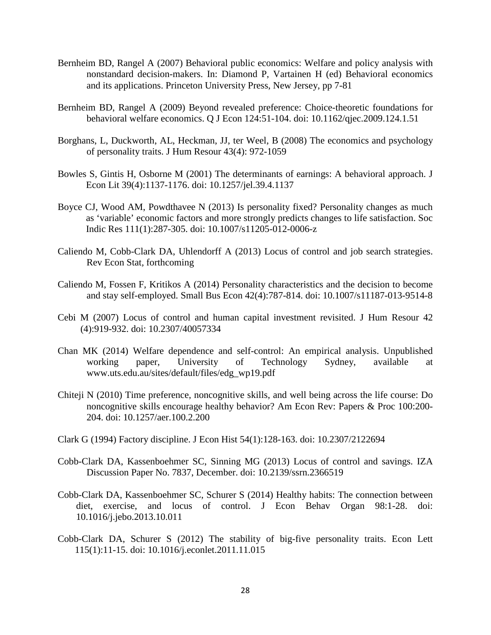- Bernheim BD, Rangel A (2007) Behavioral public economics: Welfare and policy analysis with nonstandard decision-makers. In: Diamond P, Vartainen H (ed) Behavioral economics and its applications. Princeton University Press, New Jersey, pp 7-81
- Bernheim BD, Rangel A (2009) Beyond revealed preference: Choice-theoretic foundations for behavioral welfare economics. Q J Econ 124:51-104. doi: 10.1162/qjec.2009.124.1.51
- Borghans, L, Duckworth, AL, Heckman, JJ, ter Weel, B (2008) The economics and psychology of personality traits. J Hum Resour 43(4): 972-1059
- Bowles S, Gintis H, Osborne M (2001) The determinants of earnings: A behavioral approach. J Econ Lit 39(4):1137-1176. doi: 10.1257/jel.39.4.1137
- Boyce CJ, Wood AM, Powdthavee N (2013) Is personality fixed? Personality changes as much as 'variable' economic factors and more strongly predicts changes to life satisfaction. Soc Indic Res 111(1):287-305. doi: 10.1007/s11205-012-0006-z
- Caliendo M, Cobb-Clark DA, Uhlendorff A (2013) Locus of control and job search strategies. Rev Econ Stat*,* forthcoming
- Caliendo M, Fossen F, Kritikos A (2014) Personality characteristics and the decision to become and stay self-employed. Small Bus Econ 42(4):787-814. doi: 10.1007/s11187-013-9514-8
- Cebi M (2007) Locus of control and human capital investment revisited. J Hum Resour 42 (4):919-932. doi: 10.2307/40057334
- Chan MK (2014) Welfare dependence and self-control: An empirical analysis. Unpublished working paper, University of Technology Sydney, available at [www.uts.edu.au/sites/default/files/edg\\_wp19.pdf](http://www.uts.edu.au/sites/default/files/edg_wp19.pdf)
- Chiteji N (2010) Time preference, noncognitive skills, and well being across the life course: Do noncognitive skills encourage healthy behavior? Am Econ Rev: Papers & Proc 100:200- 204. doi: 10.1257/aer.100.2.200
- Clark G (1994) Factory discipline. J Econ Hist 54(1):128-163. doi: 10.2307/2122694
- Cobb-Clark DA, Kassenboehmer SC, Sinning MG (2013) Locus of control and savings. IZA Discussion Paper No. 7837, December. doi: [10.2139/ssrn.2366519](http://dx.doi.org/10.2139/ssrn.2366519)
- Cobb-Clark DA, Kassenboehmer SC, Schurer S (2014) Healthy habits: The connection between diet, exercise, and locus of control. J Econ Behav Organ 98:1-28. doi: 10.1016/j.jebo.2013.10.011
- Cobb-Clark DA, Schurer S (2012) The stability of big-five personality traits. Econ Lett 115(1):11-15. doi: 10.1016/j.econlet.2011.11.015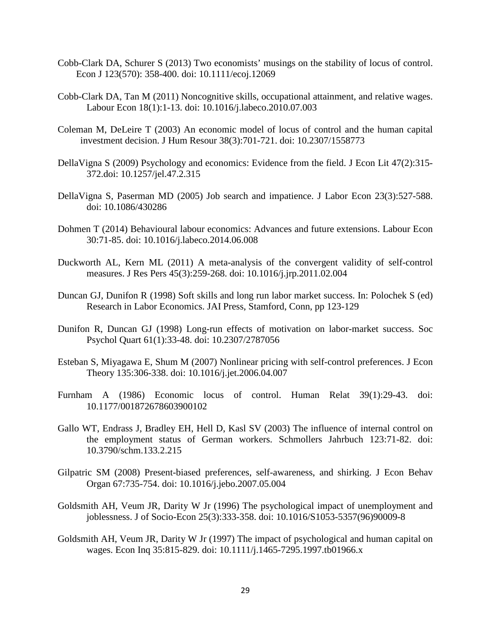- Cobb-Clark DA, Schurer S (2013) Two economists' musings on the stability of locus of control. Econ J [123\(570\):](https://owa.unimelb.edu.au/OWA/redir.aspx?C=J9buvqlDNkaLrHSHVWb_y407zJDNrtAIqDJx-7vIzNy9WrbAlb6QfVKxhsYei7PMJF609NbiLR8.&URL=http%3a%2f%2fonlinelibrary.wiley.com%2fdoi%2f10.1111%2fecoj.2013.123.issue-570%2fissuetoc) 358-400. doi: 10.1111/ecoj.12069
- Cobb-Clark DA, Tan M (2011) Noncognitive skills, occupational attainment, and relative wages. Labour Econ 18(1):1-13. doi: 10.1016/j.labeco.2010.07.003
- Coleman M, DeLeire T (2003) An economic model of locus of control and the human capital investment decision. J Hum Resour 38(3):701-721. doi: 10.2307/1558773
- DellaVigna S (2009) Psychology and economics: Evidence from the field. J Econ Lit 47(2):315- 372.doi: 10.1257/jel.47.2.315
- DellaVigna S, Paserman MD (2005) Job search and impatience. J Labor Econ 23(3):527-588. doi: 10.1086/430286
- Dohmen T (2014) Behavioural labour economics: Advances and future extensions. Labour Econ 30:71-85. doi: 10.1016/j.labeco.2014.06.008
- Duckworth AL, Kern ML (2011) A meta-analysis of the convergent validity of self-control measures. J Res Pers 45(3):259-268. doi: 10.1016/j.jrp.2011.02.004
- Duncan GJ, Dunifon R (1998) Soft skills and long run labor market success. In: Polochek S (ed) Research in Labor Economics. JAI Press, Stamford, Conn, pp 123-129
- Dunifon R, Duncan GJ (1998) Long-run effects of motivation on labor-market success. Soc Psychol Quart 61(1):33-48. doi: 10.2307/2787056
- Esteban S, Miyagawa E, Shum M (2007) Nonlinear pricing with self-control preferences. J Econ Theory 135:306-338. doi: 10.1016/j.jet.2006.04.007
- Furnham A (1986) Economic locus of control. Human Relat 39(1):29-43. doi: 10.1177/001872678603900102
- Gallo WT, Endrass J, Bradley EH, Hell D, Kasl SV (2003) The influence of internal control on the employment status of German workers. Schmollers Jahrbuch 123:71-82. doi: 10.3790/schm.133.2.215
- Gilpatric SM (2008) Present-biased preferences, self-awareness, and shirking. J Econ Behav Organ 67:735-754. doi: 10.1016/j.jebo.2007.05.004
- Goldsmith AH, Veum JR, Darity W Jr (1996) The psychological impact of unemployment and joblessness. J of Socio-Econ 25(3):333-358. doi: 10.1016/S1053-5357(96)90009-8
- Goldsmith AH, Veum JR, Darity W Jr (1997) The impact of psychological and human capital on wages. Econ Inq 35:815-829. doi: 10.1111/j.1465-7295.1997.tb01966.x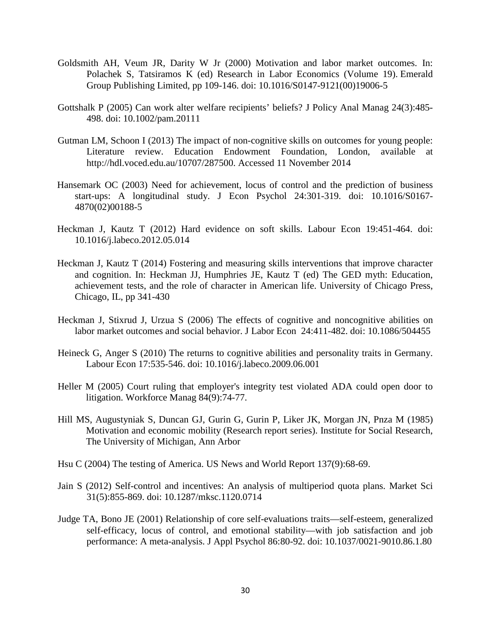- Goldsmith AH, Veum JR, Darity W Jr (2000) Motivation and labor market outcomes. In: Polachek S, Tatsiramos K (ed) Research in Labor Economics (Volume 19). Emerald Group Publishing Limited, pp 109-146. doi: 10.1016/S0147-9121(00)19006-5
- Gottshalk P (2005) Can work alter welfare recipients' beliefs? J Policy Anal Manag 24(3):485- 498. doi: 10.1002/pam.20111
- Gutman LM, Schoon I (2013) The impact of non-cognitive skills on outcomes for young people: Literature review. Education Endowment Foundation, London, available at http://hdl.voced.edu.au/10707/287500. Accessed 11 November 2014
- Hansemark OC (2003) Need for achievement, locus of control and the prediction of business start-ups: A longitudinal study. J Econ Psychol 24:301-319. doi: 10.1016/S0167- 4870(02)00188-5
- Heckman J, Kautz T (2012) Hard evidence on soft skills. Labour Econ 19:451-464. doi: 10.1016/j.labeco.2012.05.014
- Heckman J, Kautz T (2014) Fostering and measuring skills interventions that improve character and cognition. In: Heckman JJ, Humphries JE, Kautz T (ed) The GED myth: Education, achievement tests, and the role of character in American life. University of Chicago Press, Chicago, IL, pp 341-430
- Heckman J, Stixrud J, Urzua S (2006) The effects of cognitive and noncognitive abilities on labor market outcomes and social behavior. J Labor Econ 24:411-482. doi: 10.1086/504455
- Heineck G, Anger S (2010) The returns to cognitive abilities and personality traits in Germany. Labour Econ 17:535-546. doi: 10.1016/j.labeco.2009.06.001
- Heller M (2005) Court ruling that employer's integrity test violated ADA could open door to litigation. Workforce Manag 84(9):74-77.
- Hill MS, Augustyniak S, Duncan GJ, Gurin G, Gurin P, Liker JK, Morgan JN, Pnza M (1985) Motivation and economic mobility (Research report series). Institute for Social Research, The University of Michigan, Ann Arbor
- Hsu C (2004) The testing of America. US News and World Report 137(9):68-69.
- Jain S (2012) Self-control and incentives: An analysis of multiperiod quota plans. Market Sci 31(5):855-869. doi: [10.1287/mksc.1120.0714](http://dx.doi.org/10.1287/mksc.1120.0714)
- Judge TA, Bono JE (2001) Relationship of core self-evaluations traits—self-esteem, generalized self-efficacy, locus of control, and emotional stability—with job satisfaction and job performance: A meta-analysis. J Appl Psychol 86:80-92. doi: [10.1037/0021-9010.86.1.80](http://psycnet.apa.org/doi/10.1037/0021-9010.86.1.80)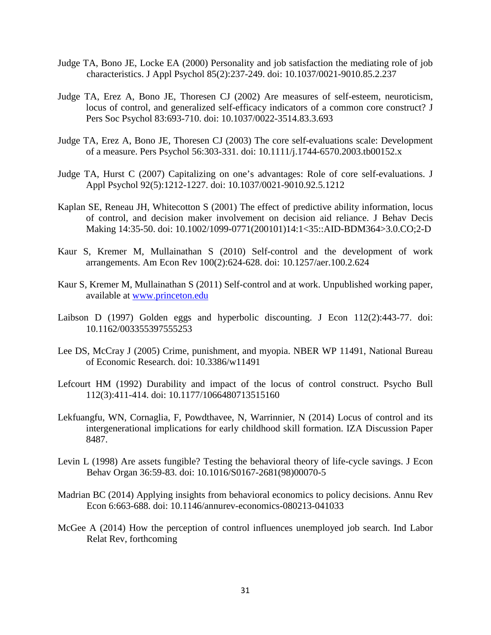- Judge TA, Bono JE, Locke EA (2000) Personality and job satisfaction the mediating role of job characteristics. J Appl Psychol 85(2):237-249. doi: [10.1037/0021-9010.85.2.237](http://psycnet.apa.org/doi/10.1037/0021-9010.85.2.237)
- Judge TA, Erez A, Bono JE, Thoresen CJ (2002) Are measures of self-esteem, neuroticism, locus of control, and generalized self-efficacy indicators of a common core construct? J Pers Soc Psychol 83:693-710. doi: [10.1037/0022-3514.83.3.693](http://psycnet.apa.org/doi/10.1037/0022-3514.83.3.693)
- Judge TA, Erez A, Bono JE, Thoresen CJ (2003) The core self-evaluations scale: Development of a measure. Pers Psychol 56:303-331. doi: 10.1111/j.1744-6570.2003.tb00152.x
- Judge TA, Hurst C (2007) Capitalizing on one's advantages: Role of core self-evaluations. J Appl Psychol 92(5):1212-1227. doi: [10.1037/0021-9010.92.5.1212](http://psycnet.apa.org/doi/10.1037/0021-9010.92.5.1212)
- Kaplan SE, Reneau JH, Whitecotton S (2001) The effect of predictive ability information, locus of control, and decision maker involvement on decision aid reliance. J Behav Decis Making 14:35-50. doi: 10.1002/1099-0771(200101)14:1<35::AID-BDM364>3.0.CO;2-D
- Kaur S, Kremer M, Mullainathan S (2010) Self-control and the development of work arrangements. Am Econ Rev 100(2):624-628. doi: 10.1257/aer.100.2.624
- Kaur S, Kremer M, Mullainathan S (2011) Self-control and at work. Unpublished working paper, available at [www.princeton.edu](http://www.princeton.edu/)
- Laibson D (1997) Golden eggs and hyperbolic discounting. J Econ 112(2):443-77. doi: 10.1162/003355397555253
- Lee DS, McCray J (2005) Crime, punishment, and myopia. NBER WP 11491, National Bureau of Economic Research. doi: 10.3386/w11491
- Lefcourt HM (1992) Durability and impact of the locus of control construct. Psycho Bull 112(3):411-414. doi: 10.1177/1066480713515160
- Lekfuangfu, WN, Cornaglia, F, Powdthavee, N, Warrinnier, N (2014) Locus of control and its intergenerational implications for early childhood skill formation. IZA Discussion Paper 8487.
- Levin L (1998) Are assets fungible? Testing the behavioral theory of life-cycle savings. J Econ Behav Organ 36:59-83. doi: 10.1016/S0167-2681(98)00070-5
- Madrian BC (2014) Applying insights from behavioral economics to policy decisions. Annu Rev Econ 6:663-688. doi: 10.1146/annurev-economics-080213-041033
- McGee A (2014) How the perception of control influences unemployed job search. Ind Labor Relat Rev, forthcoming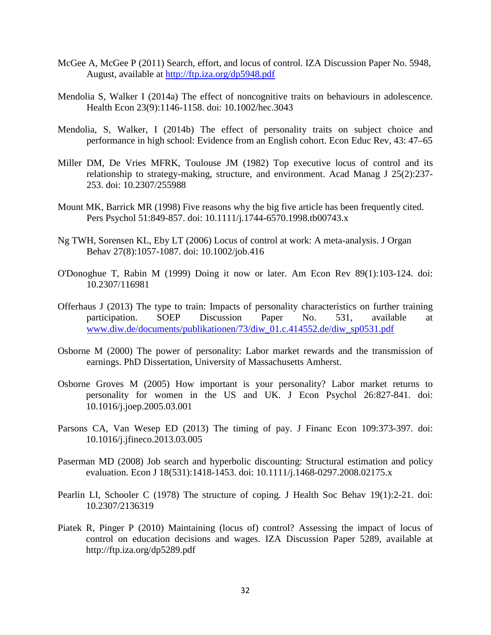- McGee A, McGee P (2011) Search, effort, and locus of control. IZA Discussion Paper No. 5948, August, available at<http://ftp.iza.org/dp5948.pdf>
- Mendolia S, Walker I (2014a) The effect of noncognitive traits on behaviours in adolescence. Health Econ 23(9):1146-1158. doi: 10.1002/hec.3043
- Mendolia, S, Walker, I (2014b) The effect of personality traits on subject choice and performance in high school: Evidence from an English cohort. Econ Educ Rev, 43: 47–65
- Miller DM, De Vries MFRK, Toulouse JM (1982) Top executive locus of control and its relationship to strategy-making, structure, and environment. Acad Manag J 25(2):237- 253. doi: 10.2307/255988
- Mount MK, Barrick MR (1998) Five reasons why the big five article has been frequently cited. Pers Psychol 51:849-857. doi: 10.1111/j.1744-6570.1998.tb00743.x
- Ng TWH, Sorensen KL, Eby LT (2006) Locus of control at work: A meta-analysis. J Organ Behav 27(8):1057-1087. doi: 10.1002/job.416
- O'Donoghue T, Rabin M (1999) Doing it now or later. Am Econ Rev 89(1):103-124. doi: 10.2307/116981
- Offerhaus J (2013) The type to train: Impacts of personality characteristics on further training participation. SOEP Discussion Paper No. 531, available at [www.diw.de/documents/publikationen/73/diw\\_01.c.414552.de/diw\\_sp0531.pdf](http://www.diw.de/documents/publikationen/73/diw_01.c.414552.de/diw_sp0531.pdf)
- Osborne M (2000) The power of personality: Labor market rewards and the transmission of earnings. PhD Dissertation, University of Massachusetts Amherst.
- Osborne Groves M (2005) How important is your personality? Labor market returns to personality for women in the US and UK. J Econ Psychol 26:827-841. doi: 10.1016/j.joep.2005.03.001
- Parsons CA, Van Wesep ED (2013) The timing of pay. J Financ Econ 109:373-397. doi: 10.1016/j.jfineco.2013.03.005
- Paserman MD (2008) Job search and hyperbolic discounting: Structural estimation and policy evaluation. Econ J 18(531):1418-1453. doi: 10.1111/j.1468-0297.2008.02175.x
- Pearlin LI, Schooler C (1978) The structure of coping. J Health Soc Behav 19(1):2-21. doi: 10.2307/2136319
- Piatek R, Pinger P (2010) Maintaining (locus of) control? Assessing the impact of locus of control on education decisions and wages. IZA Discussion Paper 5289, available at http://ftp.iza.org/dp5289.pdf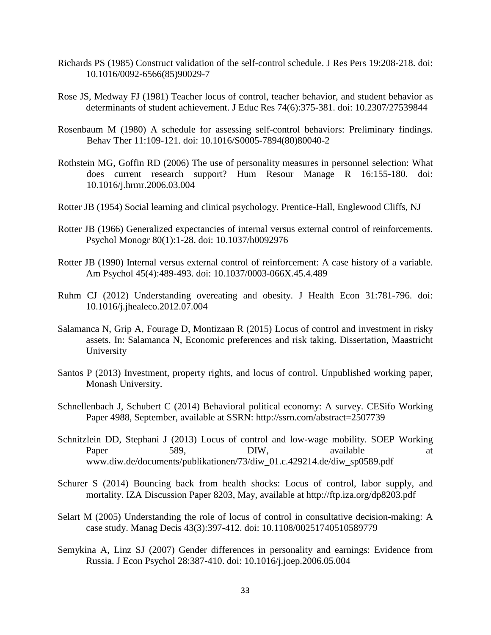- Richards PS (1985) Construct validation of the self-control schedule. J Res Pers 19:208-218. doi: 10.1016/0092-6566(85)90029-7
- Rose JS, Medway FJ (1981) Teacher locus of control, teacher behavior, and student behavior as determinants of student achievement. J Educ Res 74(6):375-381. doi: 10.2307/27539844
- Rosenbaum M (1980) A schedule for assessing self-control behaviors: Preliminary findings. Behav Ther 11:109-121. doi: 10.1016/S0005-7894(80)80040-2
- Rothstein MG, Goffin RD (2006) The use of personality measures in personnel selection: What does current research support? Hum Resour Manage R 16:155-180. doi: 10.1016/j.hrmr.2006.03.004
- Rotter JB (1954) Social learning and clinical psychology. Prentice-Hall, Englewood Cliffs, NJ
- Rotter JB (1966) Generalized expectancies of internal versus external control of reinforcements. Psychol Monogr 80(1):1-28. doi: [10.1037/h0092976](http://psycnet.apa.org/doi/10.1037/h0092976)
- Rotter JB (1990) Internal versus external control of reinforcement: A case history of a variable. Am Psychol 45(4):489-493. doi: [10.1037/0003-066X.45.4.489](http://psycnet.apa.org/doi/10.1037/0003-066X.45.4.489)
- Ruhm CJ (2012) Understanding overeating and obesity. J Health Econ 31:781-796. doi: 10.1016/j.jhealeco.2012.07.004
- Salamanca N, Grip A, Fourage D, Montizaan R (2015) Locus of control and investment in risky assets. In: Salamanca N, Economic preferences and risk taking. Dissertation, Maastricht University
- Santos P (2013) Investment, property rights, and locus of control. Unpublished working paper, Monash University.
- Schnellenbach J, Schubert C (2014) Behavioral political economy: A survey. CESifo Working Paper 4988, September, available at SSRN: <http://ssrn.com/abstract=2507739>
- Schnitzlein DD, Stephani J (2013) Locus of control and low-wage mobility. SOEP Working Paper 589, DIW, available at www.diw.de/documents/publikationen/73/diw\_01.c.429214.de/diw\_sp0589.pdf
- Schurer S (2014) Bouncing back from health shocks: Locus of control, labor supply, and mortality. IZA Discussion Paper 8203, May, available at<http://ftp.iza.org/dp8203.pdf>
- Selart M (2005) Understanding the role of locus of control in consultative decision-making: A case study. Manag Decis 43(3):397-412. doi: 10.1108/00251740510589779
- Semykina A, Linz SJ (2007) Gender differences in personality and earnings: Evidence from Russia. J Econ Psychol 28:387-410. doi: 10.1016/j.joep.2006.05.004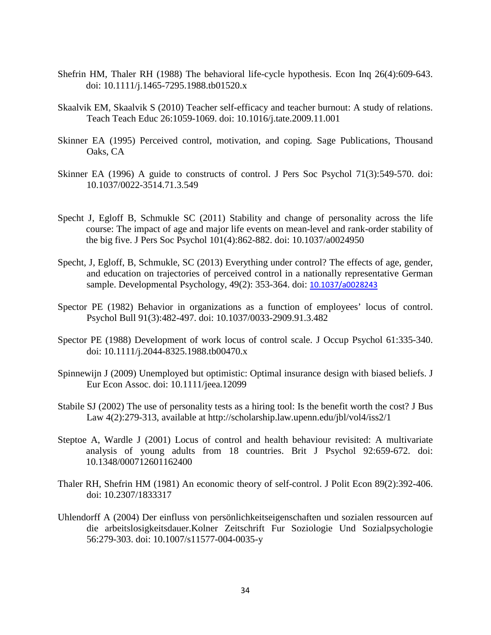- Shefrin HM, Thaler RH (1988) The behavioral life-cycle hypothesis. Econ Inq 26(4):609-643. doi: 10.1111/j.1465-7295.1988.tb01520.x
- Skaalvik EM, Skaalvik S (2010) Teacher self-efficacy and teacher burnout: A study of relations. Teach Teach Educ 26:1059-1069. doi: 10.1016/j.tate.2009.11.001
- Skinner EA (1995) Perceived control, motivation, and coping*.* Sage Publications, Thousand Oaks, CA
- Skinner EA (1996) A guide to constructs of control. J Pers Soc Psychol 71(3):549-570. doi: [10.1037/0022-3514.71.3.549](http://psycnet.apa.org/doi/10.1037/0022-3514.71.3.549)
- Specht J, Egloff B, Schmukle SC (2011) Stability and change of personality across the life course: The impact of age and major life events on mean-level and rank-order stability of the big five. J Pers Soc Psychol 101(4):862-882. doi: [10.1037/a0024950](http://psycnet.apa.org/doi/10.1037/a0024950)
- Specht, J, Egloff, B, Schmukle, SC (2013) Everything under control? The effects of age, gender, and education on trajectories of perceived control in a nationally representative German sample. Developmental Psychology, 49(2): 353-364. doi: [10.1037/a0028243](javascript:__doLinkPostBack()
- Spector PE (1982) Behavior in organizations as a function of employees' locus of control. Psychol Bull 91(3):482-497. doi: [10.1037/0033-2909.91.3.482](http://psycnet.apa.org/doi/10.1037/0033-2909.91.3.482)
- Spector PE (1988) Development of work locus of control scale. J Occup Psychol 61:335-340. doi: 10.1111/j.2044-8325.1988.tb00470.x
- Spinnewijn J (2009) Unemployed but optimistic: Optimal insurance design with biased beliefs. J Eur Econ Assoc. doi: 10.1111/jeea.12099
- Stabile SJ (2002) The use of personality tests as a hiring tool: Is the benefit worth the cost? J Bus Law 4(2):279-313, available at http://scholarship.law.upenn.edu/jbl/vol4/iss2/1
- Steptoe A, Wardle J (2001) Locus of control and health behaviour revisited: A multivariate analysis of young adults from 18 countries. Brit J Psychol 92:659-672. doi: 10.1348/000712601162400
- Thaler RH, Shefrin HM (1981) An economic theory of self-control. J Polit Econ 89(2):392-406. doi: 10.2307/1833317
- Uhlendorff A (2004) Der einfluss von persönlichkeitseigenschaften und sozialen ressourcen auf die arbeitslosigkeitsdauer.Kolner Zeitschrift Fur Soziologie Und Sozialpsychologie 56:279-303. doi: 10.1007/s11577-004-0035-y